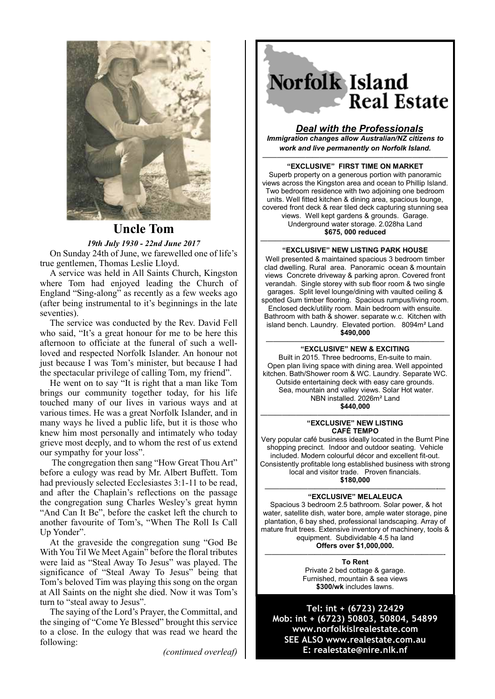

# **Uncle Tom**

*19th July 1930 - 22nd June 2017*

On Sunday 24th of June, we farewelled one of life's true gentlemen, Thomas Leslie Lloyd.

A service was held in All Saints Church, Kingston where Tom had enjoyed leading the Church of England "Sing-along" as recently as a few weeks ago (after being instrumental to it's beginnings in the late seventies).

The service was conducted by the Rev. David Fell who said, "It's a great honour for me to be here this afternoon to officiate at the funeral of such a wellloved and respected Norfolk Islander. An honour not just because I was Tom's minister, but because I had the spectacular privilege of calling Tom, my friend".

He went on to say "It is right that a man like Tom brings our community together today, for his life touched many of our lives in various ways and at various times. He was a great Norfolk Islander, and in many ways he lived a public life, but it is those who knew him most personally and intimately who today grieve most deeply, and to whom the rest of us extend our sympathy for your loss".

 The congregation then sang "How Great Thou Art" before a eulogy was read by Mr. Albert Buffett. Tom had previously selected Ecclesiastes 3:1-11 to be read, and after the Chaplain's reflections on the passage the congregation sung Charles Wesley's great hymn "And Can It Be", before the casket left the church to another favourite of Tom's, "When The Roll Is Call Up Yonder".

At the graveside the congregation sung "God Be With You Til We Meet Again" before the floral tributes were laid as "Steal Away To Jesus" was played. The significance of "Steal Away To Jesus" being that Tom's beloved Tim was playing this song on the organ at All Saints on the night she died. Now it was Tom's turn to "steal away to Jesus".

The saying of the Lord's Prayer, the Committal, and the singing of "Come Ye Blessed" brought this service to a close. In the eulogy that was read we heard the following:

*(continued overleaf)*



### *Deal with the Professionals*

*Immigration changes allow Australian/NZ citizens to work and live permanently on Norfolk Island.* ——————————————————————————

**"EXCLUSIVE" FIRST TIME ON MARKET** Superb property on a generous portion with panoramic views across the Kingston area and ocean to Phillip Island. Two bedroom residence with two adjoining one bedroom units. Well fitted kitchen & dining area, spacious lounge, covered front deck & rear tiled deck capturing stunning sea views. Well kept gardens & grounds. Garage. Underground water storage. 2.028ha Land **\$675, 000 reduced**

#### ————–—————————————————————— **"EXCLUSIVE" NEW LISTING PARK HOUSE**

Well presented & maintained spacious 3 bedroom timber clad dwelling. Rural area. Panoramic ocean & mountain views Concrete driveway & parking apron. Covered front verandah. Single storey with sub floor room & two single garages. Split level lounge/dining with vaulted ceiling & spotted Gum timber flooring. Spacious rumpus/living room. Enclosed deck/utility room. Main bedroom with ensuite. Bathroom with bath & shower. separate w.c. Kitchen with island bench. Laundry. Elevated portion. 8094m² Land **\$490,000**

#### ————————————————————————— **"EXCLUSIVE" NEW & EXCITING**

Built in 2015. Three bedrooms, En-suite to main. Open plan living space with dining area. Well appointed kitchen. Bath/Shower room & WC. Laundry. Separate WC. Outside entertaining deck with easy care grounds. Sea, mountain and valley views. Solar Hot water. NBN installed. 2026m² Land **\$440,000**

#### —————————————————————————–— **"EXCLUSIVE" NEW LISTING CAFÉ TEMPO**

Very popular café business ideally located in the Burnt Pine shopping precinct. Indoor and outdoor seating. Vehicle included. Modern colourful décor and excellent fit-out. Consistently profitable long established business with strong local and visitor trade. Proven financials. **\$180,000**

#### ————————————————————————-— **"EXCLUSIVE" MELALEUCA**

Spacious 3 bedroom 2.5 bathroom. Solar power, & hot water, satellite dish, water bore, ample water storage, pine plantation, 6 bay shed, professional landscaping. Array of mature fruit trees. Extensive inventory of machinery, tools & equipment. Subdividable 4.5 ha land **Offers over \$1,000,000.** 

—————————————————————————- **To Rent**  Private 2 bed cottage & garage. Furnished, mountain & sea views **\$300/wk** includes lawns.

**Tel: int + (6723) 22429 Mob: int + (6723) 50803, 50804, 54899 www.norfolkislrealestate.com SEE ALSO www.realestate.com.au E: realestate@nire.nlk.nf**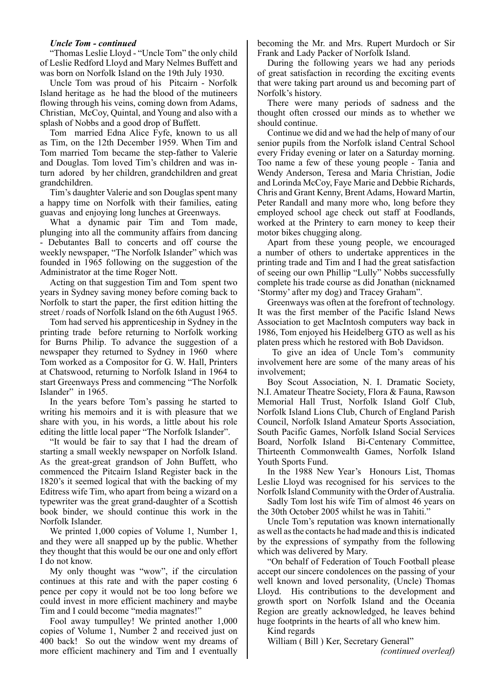### *Uncle Tom - continued*

"Thomas Leslie Lloyd - "Uncle Tom" the only child of Leslie Redford Lloyd and Mary Nelmes Buffett and was born on Norfolk Island on the 19th July 1930.

Uncle Tom was proud of his Pitcairn - Norfolk Island heritage as he had the blood of the mutineers flowing through his veins, coming down from Adams, Christian, McCoy, Quintal, and Young and also with a splash of Nobbs and a good drop of Buffett.

Tom married Edna Alice Fyfe, known to us all as Tim, on the 12th December 1959. When Tim and Tom married Tom became the step-father to Valerie and Douglas. Tom loved Tim's children and was inturn adored by her children, grandchildren and great grandchildren.

Tim's daughter Valerie and son Douglas spent many a happy time on Norfolk with their families, eating guavas and enjoying long lunches at Greenways.

What a dynamic pair Tim and Tom made, plunging into all the community affairs from dancing - Debutantes Ball to concerts and off course the weekly newspaper, "The Norfolk Islander" which was founded in 1965 following on the suggestion of the Administrator at the time Roger Nott.

Acting on that suggestion Tim and Tom spent two years in Sydney saving money before coming back to Norfolk to start the paper, the first edition hitting the street / roads of Norfolk Island on the 6th August 1965.

Tom had served his apprenticeship in Sydney in the printing trade before returning to Norfolk working for Burns Philip. To advance the suggestion of a newspaper they returned to Sydney in 1960 where Tom worked as a Compositor for G. W. Hall, Printers at Chatswood, returning to Norfolk Island in 1964 to start Greenways Press and commencing "The Norfolk Islander" in 1965.

In the years before Tom's passing he started to writing his memoirs and it is with pleasure that we share with you, in his words, a little about his role editing the little local paper "The Norfolk Islander".

"It would be fair to say that I had the dream of starting a small weekly newspaper on Norfolk Island. As the great-great grandson of John Buffett, who commenced the Pitcairn Island Register back in the 1820's it seemed logical that with the backing of my Editress wife Tim, who apart from being a wizard on a typewriter was the great grand-daughter of a Scottish book binder, we should continue this work in the Norfolk Islander.

We printed 1,000 copies of Volume 1, Number 1, and they were all snapped up by the public. Whether they thought that this would be our one and only effort I do not know.

My only thought was "wow", if the circulation continues at this rate and with the paper costing 6 pence per copy it would not be too long before we could invest in more efficient machinery and maybe Tim and I could become "media magnates!"

Fool away tumpulley! We printed another 1,000 copies of Volume 1, Number 2 and received just on 400 back! So out the window went my dreams of more efficient machinery and Tim and I eventually

becoming the Mr. and Mrs. Rupert Murdoch or Sir Frank and Lady Packer of Norfolk Island.

During the following years we had any periods of great satisfaction in recording the exciting events that were taking part around us and becoming part of Norfolk's history.

There were many periods of sadness and the thought often crossed our minds as to whether we should continue.

Continue we did and we had the help of many of our senior pupils from the Norfolk island Central School every Friday evening or later on a Saturday morning. Too name a few of these young people - Tania and Wendy Anderson, Teresa and Maria Christian, Jodie and Lorinda McCoy, Faye Marie and Debbie Richards, Chris and Grant Kenny, Brent Adams, Howard Martin, Peter Randall and many more who, long before they employed school age check out staff at Foodlands, worked at the Printery to earn money to keep their motor bikes chugging along.

Apart from these young people, we encouraged a number of others to undertake apprentices in the printing trade and Tim and I had the great satisfaction of seeing our own Phillip "Lully" Nobbs successfully complete his trade course as did Jonathan (nicknamed 'Stormy' after my dog) and Tracey Graham".

Greenways was often at the forefront of technology. It was the first member of the Pacific Island News Association to get MacIntosh computers way back in 1986, Tom enjoyed his Heidelberg GTO as well as his platen press which he restored with Bob Davidson.

 To give an idea of Uncle Tom's community involvement here are some of the many areas of his involvement;

Boy Scout Association, N. I. Dramatic Society, N.I. Amateur Theatre Society, Flora & Fauna, Rawson Memorial Hall Trust, Norfolk Island Golf Club, Norfolk Island Lions Club, Church of England Parish Council, Norfolk Island Amateur Sports Association, South Pacific Games, Norfolk Island Social Services Board, Norfolk Island Bi-Centenary Committee, Thirteenth Commonwealth Games, Norfolk Island Youth Sports Fund.

In the 1988 New Year's Honours List, Thomas Leslie Lloyd was recognised for his services to the Norfolk Island Community with the Order of Australia.

Sadly Tom lost his wife Tim of almost 46 years on the 30th October 2005 whilst he was in Tahiti."

Uncle Tom's reputation was known internationally as well as the contacts he had made and this is indicated by the expressions of sympathy from the following which was delivered by Mary.

"On behalf of Federation of Touch Football please accept our sincere condolences on the passing of your well known and loved personality, (Uncle) Thomas Lloyd. His contributions to the development and growth sport on Norfolk Island and the Oceania Region are greatly acknowledged, he leaves behind huge footprints in the hearts of all who knew him.

Kind regards

William ( Bill ) Ker, Secretary General"

*(continued overleaf)*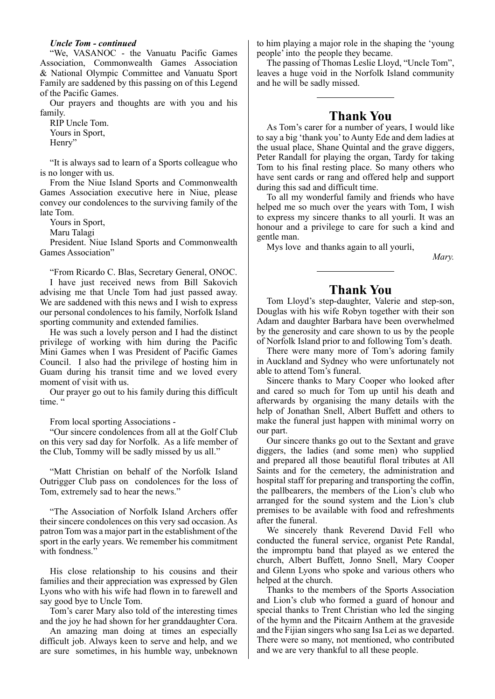#### *Uncle Tom - continued*

"We, VASANOC - the Vanuatu Pacific Games Association, Commonwealth Games Association & National Olympic Committee and Vanuatu Sport Family are saddened by this passing on of this Legend of the Pacific Games.

Our prayers and thoughts are with you and his family.

RIP Uncle Tom. Yours in Sport, Henry"

"It is always sad to learn of a Sports colleague who is no longer with us.

From the Niue Island Sports and Commonwealth Games Association executive here in Niue, please convey our condolences to the surviving family of the late Tom.

Yours in Sport,

Maru Talagi

President. Niue Island Sports and Commonwealth Games Association"

"From Ricardo C. Blas, Secretary General, ONOC.

I have just received news from Bill Sakovich advising me that Uncle Tom had just passed away. We are saddened with this news and I wish to express our personal condolences to his family, Norfolk Island sporting community and extended families.

He was such a lovely person and I had the distinct privilege of working with him during the Pacific Mini Games when I was President of Pacific Games Council. I also had the privilege of hosting him in Guam during his transit time and we loved every moment of visit with us.

Our prayer go out to his family during this difficult time."

From local sporting Associations -

"Our sincere condolences from all at the Golf Club on this very sad day for Norfolk. As a life member of the Club, Tommy will be sadly missed by us all."

"Matt Christian on behalf of the Norfolk Island Outrigger Club pass on condolences for the loss of Tom, extremely sad to hear the news."

"The Association of Norfolk Island Archers offer their sincere condolences on this very sad occasion. As patron Tom was a major part in the establishment of the sport in the early years. We remember his commitment with fondness."

His close relationship to his cousins and their families and their appreciation was expressed by Glen Lyons who with his wife had flown in to farewell and say good bye to Uncle Tom.

Tom's carer Mary also told of the interesting times and the joy he had shown for her granddaughter Cora.

An amazing man doing at times an especially difficult job. Always keen to serve and help, and we are sure sometimes, in his humble way, unbeknown

to him playing a major role in the shaping the 'young people' into the people they became.

The passing of Thomas Leslie Lloyd, "Uncle Tom", leaves a huge void in the Norfolk Island community and he will be sadly missed.

## **Thank You**

As Tom's carer for a number of years, I would like to say a big 'thank you' to Aunty Ede and dem ladies at the usual place, Shane Quintal and the grave diggers, Peter Randall for playing the organ, Tardy for taking Tom to his final resting place. So many others who have sent cards or rang and offered help and support during this sad and difficult time.

To all my wonderful family and friends who have helped me so much over the years with Tom, I wish to express my sincere thanks to all yourli. It was an honour and a privilege to care for such a kind and gentle man.

Mys love and thanks again to all yourli,

 *Mary.*

## **Thank You**

Tom Lloyd's step-daughter, Valerie and step-son, Douglas with his wife Robyn together with their son Adam and daughter Barbara have been overwhelmed by the generosity and care shown to us by the people of Norfolk Island prior to and following Tom's death.

There were many more of Tom's adoring family in Auckland and Sydney who were unfortunately not able to attend Tom's funeral.

Sincere thanks to Mary Cooper who looked after and cared so much for Tom up until his death and afterwards by organising the many details with the help of Jonathan Snell, Albert Buffett and others to make the funeral just happen with minimal worry on our part.

Our sincere thanks go out to the Sextant and grave diggers, the ladies (and some men) who supplied and prepared all those beautiful floral tributes at All Saints and for the cemetery, the administration and hospital staff for preparing and transporting the coffin, the pallbearers, the members of the Lion's club who arranged for the sound system and the Lion's club premises to be available with food and refreshments after the funeral.

We sincerely thank Reverend David Fell who conducted the funeral service, organist Pete Randal, the impromptu band that played as we entered the church, Albert Buffett, Jonno Snell, Mary Cooper and Glenn Lyons who spoke and various others who helped at the church.

Thanks to the members of the Sports Association and Lion's club who formed a guard of honour and special thanks to Trent Christian who led the singing of the hymn and the Pitcairn Anthem at the graveside and the Fijian singers who sang Isa Lei as we departed. There were so many, not mentioned, who contributed and we are very thankful to all these people.